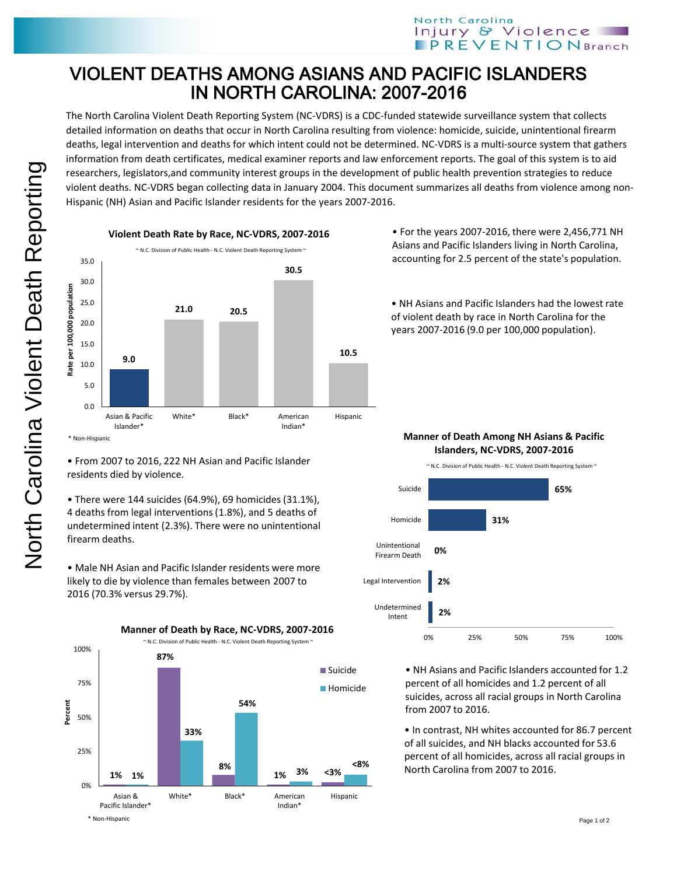## VIOLENT DEATHS AMONG ASIANS AND PACIFIC ISLANDERS IN NORTH CAROLINA: 2007-2016

The North Carolina Violent Death Reporting System (NC-VDRS) is a CDC-funded statewide surveillance system that collects detailed information on deaths that occur in North Carolina resulting from violence: homicide, suicide, unintentional firearm deaths, legal intervention and deaths for which intent could not be determined. NC-VDRS is a multi-source system that gathers information from death certificates, medical examiner reports and law enforcement reports. The goal of this system is to aid researchers, legislators,and community interest groups in the development of public health prevention strategies to reduce violent deaths. NC-VDRS began collecting data in January 2004. This document summarizes all deaths from violence among non-Hispanic (NH) Asian and Pacific Islander residents for the years 2007-2016.



• From 2007 to 2016, 222 NH Asian and Pacific Islander residents died by violence.

• There were 144 suicides (64.9%), 69 homicides (31.1%), 4 deaths from legal interventions (1.8%), and 5 deaths of undetermined intent (2.3%). There were no unintentional firearm deaths.

• Male NH Asian and Pacific Islander residents were more likely to die by violence than females between 2007 to 2016 (70.3% versus 29.7%).



• For the years 2007-2016, there were 2,456,771 NH Asians and Pacific Islanders living in North Carolina, accounting for 2.5 percent of the state's population.

• NH Asians and Pacific Islanders had the lowest rate of violent death by race in North Carolina for the years 2007-2016 (9.0 per 100,000 population).

**Manner of Death Among NH Asians & Pacific Islanders, NC-VDRS, 2007-2016**



**2%** 0% 25% 50% 75% 100% Undetermined Intent

• NH Asians and Pacific Islanders accounted for 1.2 percent of all homicides and 1.2 percent of all suicides, across all racial groups in North Carolina from 2007 to 2016.

• In contrast, NH whites accounted for 86.7 percent of all suicides, and NH blacks accounted for 53.6 percent of all homicides, across all racial groups in North Carolina from 2007 to 2016.